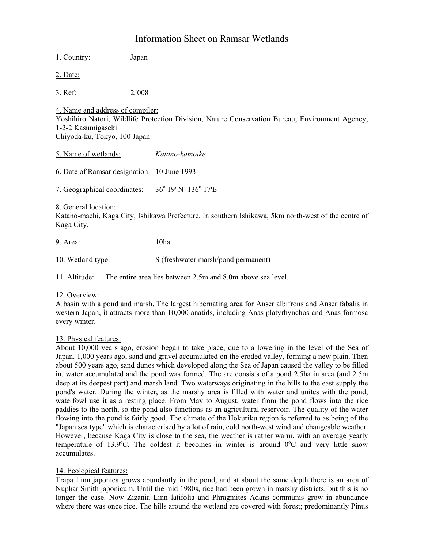# Information Sheet on Ramsar Wetlands

1. Country: Japan 2. Date: 3. Ref: 2J008 4. Name and address of compiler: Yoshihiro Natori, Wildlife Protection Division, Nature Conservation Bureau, Environment Agency, 1-2-2 Kasumigaseki Chiyoda-ku, Tokyo, 100 Japan 5. Name of wetlands: *Katano-kamoike* 6. Date of Ramsar designation: 10 June 1993 7. Geographical coordinates:  $36^{\circ}$  19' N 136 $^{\circ}$  17'E 8. General location: Katano-machi, Kaga City, Ishikawa Prefecture. In southern Ishikawa, 5km north-west of the centre of Kaga City. 9. Area: 10ha 10. Wetland type: S (freshwater marsh/pond permanent)

11. Altitude: The entire area lies between 2.5m and 8.0m above sea level.

# 12. Overview:

A basin with a pond and marsh. The largest hibernating area for Anser albifrons and Anser fabalis in western Japan, it attracts more than 10,000 anatids, including Anas platyrhynchos and Anas formosa every winter.

## 13. Physical features:

About 10,000 years ago, erosion began to take place, due to a lowering in the level of the Sea of Japan. 1,000 years ago, sand and gravel accumulated on the eroded valley, forming a new plain. Then about 500 years ago, sand dunes which developed along the Sea of Japan caused the valley to be filled in, water accumulated and the pond was formed. The are consists of a pond 2.5ha in area (and 2.5m deep at its deepest part) and marsh land. Two waterways originating in the hills to the east supply the pond's water. During the winter, as the marshy area is filled with water and unites with the pond, waterfowl use it as a resting place. From May to August, water from the pond flows into the rice paddies to the north, so the pond also functions as an agricultural reservoir. The quality of the water flowing into the pond is fairly good. The climate of the Hokuriku region is referred to as being of the "Japan sea type" which is characterised by a lot of rain, cold north-west wind and changeable weather. However, because Kaga City is close to the sea, the weather is rather warm, with an average yearly temperature of 13.9 $^{\circ}$ C. The coldest it becomes in winter is around  $0^{\circ}$ C and very little snow accumulates.

## 14. Ecological features:

Trapa Linn japonica grows abundantly in the pond, and at about the same depth there is an area of Nuphar Smith japonicum. Until the mid 1980s, rice had been grown in marshy districts, but this is no longer the case. Now Zizania Linn latifolia and Phragmites Adans communis grow in abundance where there was once rice. The hills around the wetland are covered with forest; predominantly Pinus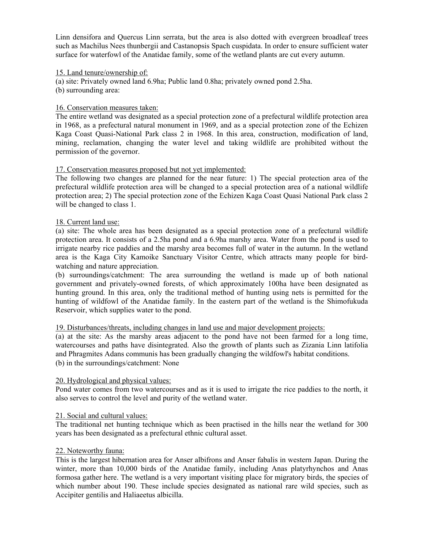Linn densifora and Quercus Linn serrata, but the area is also dotted with evergreen broadleaf trees such as Machilus Nees thunbergii and Castanopsis Spach cuspidata. In order to ensure sufficient water surface for waterfowl of the Anatidae family, some of the wetland plants are cut every autumn.

## 15. Land tenure/ownership of:

(a) site: Privately owned land 6.9ha; Public land 0.8ha; privately owned pond 2.5ha. (b) surrounding area:

## 16. Conservation measures taken:

The entire wetland was designated as a special protection zone of a prefectural wildlife protection area in 1968, as a prefectural natural monument in 1969, and as a special protection zone of the Echizen Kaga Coast Quasi-National Park class 2 in 1968. In this area, construction, modification of land, mining, reclamation, changing the water level and taking wildlife are prohibited without the permission of the governor.

## 17. Conservation measures proposed but not yet implemented:

The following two changes are planned for the near future: 1) The special protection area of the prefectural wildlife protection area will be changed to a special protection area of a national wildlife protection area; 2) The special protection zone of the Echizen Kaga Coast Quasi National Park class 2 will be changed to class 1.

## 18. Current land use:

(a) site: The whole area has been designated as a special protection zone of a prefectural wildlife protection area. It consists of a 2.5ha pond and a 6.9ha marshy area. Water from the pond is used to irrigate nearby rice paddies and the marshy area becomes full of water in the autumn. In the wetland area is the Kaga City Kamoike Sanctuary Visitor Centre, which attracts many people for birdwatching and nature appreciation.

(b) surroundings/catchment: The area surrounding the wetland is made up of both national government and privately-owned forests, of which approximately 100ha have been designated as hunting ground. In this area, only the traditional method of hunting using nets is permitted for the hunting of wildfowl of the Anatidae family. In the eastern part of the wetland is the Shimofukuda Reservoir, which supplies water to the pond.

## 19. Disturbances/threats, including changes in land use and major development projects:

(a) at the site: As the marshy areas adjacent to the pond have not been farmed for a long time, watercourses and paths have disintegrated. Also the growth of plants such as Zizania Linn latifolia and Phragmites Adans communis has been gradually changing the wildfowl's habitat conditions. (b) in the surroundings/catchment: None

## 20. Hydrological and physical values:

Pond water comes from two watercourses and as it is used to irrigate the rice paddies to the north, it also serves to control the level and purity of the wetland water.

## 21. Social and cultural values:

The traditional net hunting technique which as been practised in the hills near the wetland for 300 years has been designated as a prefectural ethnic cultural asset.

## 22. Noteworthy fauna:

This is the largest hibernation area for Anser albifrons and Anser fabalis in western Japan. During the winter, more than 10,000 birds of the Anatidae family, including Anas platyrhynchos and Anas formosa gather here. The wetland is a very important visiting place for migratory birds, the species of which number about 190. These include species designated as national rare wild species, such as Accipiter gentilis and Haliaeetus albicilla.